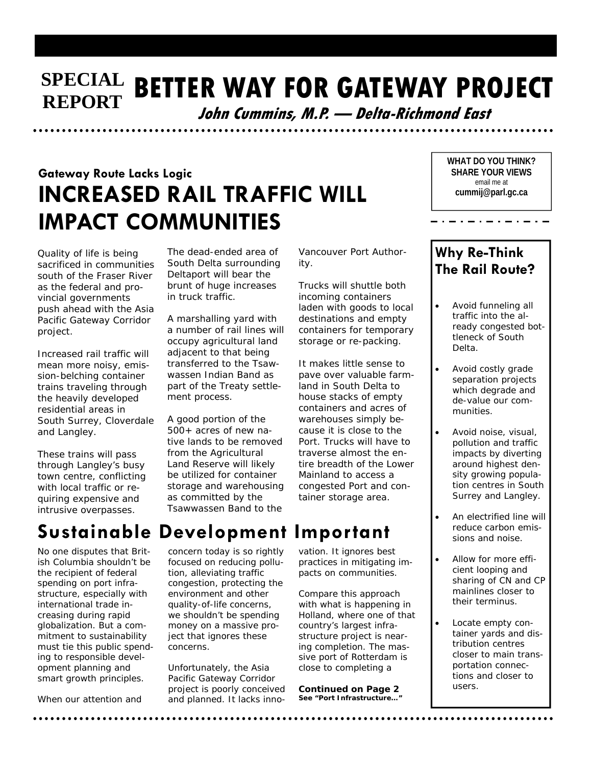### **SPECIAL BETTER WAY FOR GATEWAY PROJECT REPORT**

**John Cummins, M.P. — Delta-Richmond East** 

# **Gateway Route Lacks Logic INCREASED RAIL TRAFFIC WILL IMPACT COMMUNITIES**

Quality of life is being sacrificed in communities south of the Fraser River as the federal and provincial governments push ahead with the Asia Pacific Gateway Corridor project.

Increased rail traffic will mean more noisy, emission-belching container trains traveling through the heavily developed residential areas in South Surrey, Cloverdale and Langley.

These trains will pass through Langley's busy town centre, conflicting with local traffic or requiring expensive and intrusive overpasses.

The dead-ended area of South Delta surrounding Deltaport will bear the brunt of huge increases in truck traffic.

A marshalling yard with a number of rail lines will occupy agricultural land adiacent to that being transferred to the Tsawwassen Indian Band as part of the Treaty settlement process.

A good portion of the 500+ acres of new native lands to be removed from the Agricultural Land Reserve will likely be utilized for container storage and warehousing as committed by the Tsawwassen Band to the

Vancouver Port Authority.

Trucks will shuttle both incoming containers laden with goods to local destinations and empty containers for temporary storage or re-packing.

It makes little sense to pave over valuable farmland in South Delta to house stacks of empty containers and acres of warehouses simply because it is close to the Port. Trucks will have to traverse almost the entire breadth of the Lower Mainland to access a congested Port and container storage area.

**WHAT DO YOU THINK? SHARE YOUR VIEWS**  email me at **cummij@parl.gc.ca** 

 $\ldots \ldots \ldots \ldots \ldots \ldots$ 

### **Why Re-Think The Rail Route?**

- Avoid funneling all traffic into the already congested bottleneck of South Delta.
- Avoid costly grade separation projects which degrade and de-value our communities.
- Avoid noise, visual, pollution and traffic impacts by diverting around highest density growing population centres in South Surrey and Langley.
- An electrified line will reduce carbon emissions and noise.
- Allow for more efficient looping and sharing of CN and CP mainlines closer to their terminus.
- Locate empty container yards and distribution centres closer to main transportation connections and closer to users.

# **Sustainable Development Important**

No one disputes that British Columbia shouldn't be the recipient of federal spending on port infrastructure, especially with international trade increasing during rapid globalization. But a commitment to sustainability must tie this public spending to responsible development planning and smart growth principles.

When our attention and

concern today is so rightly focused on reducing pollution, alleviating traffic congestion, protecting the environment and other quality-of-life concerns, we shouldn't be spending money on a massive project that ignores these concerns.

Unfortunately, the Asia Pacific Gateway Corridor project is poorly conceived and planned. It lacks inno-

vation. It ignores best practices in mitigating im-

pacts on communities. Compare this approach with what is happening in

Holland, where one of that country's largest infrastructure project is nearing completion. The massive port of Rotterdam is close to completing a

**Continued** *on Page 2*  **See "Port Infrastructure…"**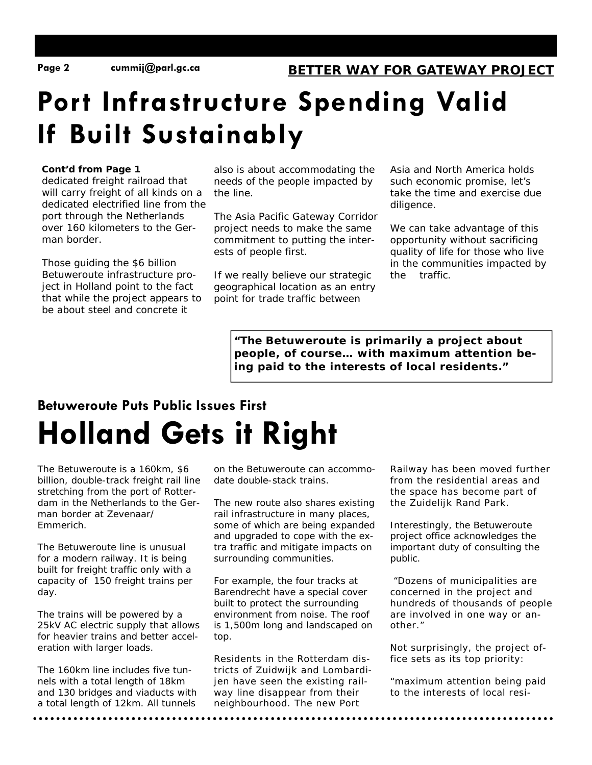# **Port Infrastructure Spending Valid If Built Sustainably**

#### **Cont'd from Page 1**

dedicated freight railroad that will carry freight of all kinds on a dedicated electrified line from the port through the Netherlands over 160 kilometers to the German border.

Those guiding the \$6 billion Betuweroute infrastructure project in Holland point to the fact that while the project appears to be about steel and concrete it

also is about accommodating the needs of the people impacted by the line.

The Asia Pacific Gateway Corridor project needs to make the same commitment to putting the interests of people first.

If we really believe our strategic geographical location as an entry point for trade traffic between

Asia and North America holds such economic promise, let's take the time and exercise due diligence.

We can take advantage of this opportunity without sacrificing quality of life for those who live in the communities impacted by the traffic.

**"The** *Betuweroute is primarily a project about people, of course… with maximum attention being paid to the interests of local residents***."** 

# **Betuweroute Puts Public Issues First Holland Gets it Right**

The Betuweroute is a 160km, \$6 billion, double-track freight rail line stretching from the port of Rotterdam in the Netherlands to the German border at Zevenaar/ Emmerich.

The Betuweroute line is unusual for a modern railway. It is being built for freight traffic only with a capacity of 150 freight trains per day.

The trains will be powered by a 25kV AC electric supply that allows for heavier trains and better acceleration with larger loads.

The 160km line includes five tunnels with a total length of 18km and 130 bridges and viaducts with a total length of 12km. All tunnels

on the Betuweroute can accommodate double-stack trains.

The new route also shares existing rail infrastructure in many places, some of which are being expanded and upgraded to cope with the extra traffic and mitigate impacts on surrounding communities.

For example, the four tracks at Barendrecht have a special cover built to protect the surrounding environment from noise. The roof is 1,500m long and landscaped on top.

Residents in the Rotterdam districts of Zuidwijk and Lombardijen have seen the existing railway line disappear from their neighbourhood. The new Port

Railway has been moved further from the residential areas and the space has become part of the Zuidelijk Rand Park.

Interestingly, the Betuweroute project office acknowledges the important duty of consulting the public.

 "*Dozens of municipalities are concerned in the project and hundreds of thousands of people are involved in one way or another."* 

Not surprisingly, the project office sets as its top priority:

"*maximum attention being paid to the interests of local resi-*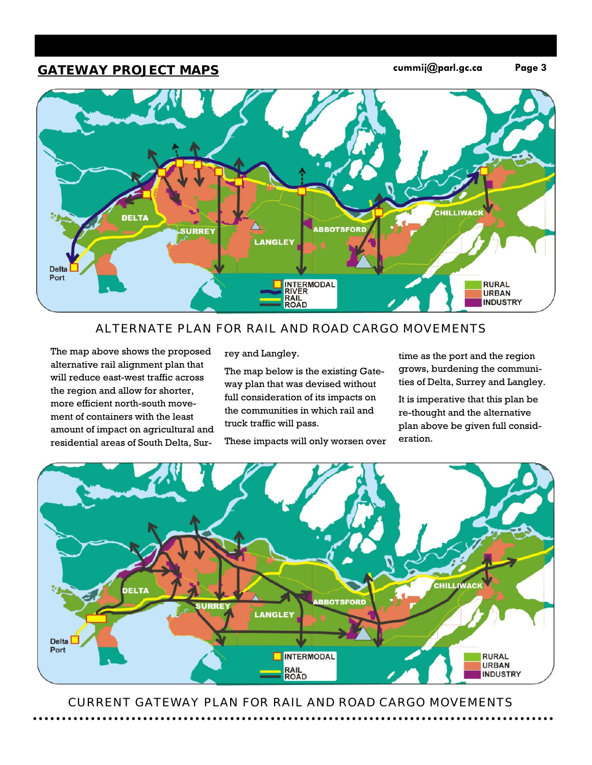### **GATEWAY PROJECT MAPS cummij@parl.gc.ca Page 3**



#### ALTERNATE PLAN FOR RAIL AND ROAD CARGO MOVEMENTS

The map above shows the proposed alternative rail alignment plan that will reduce east-west traffic across the region and allow for shorter, more efficient north-south movement of containers with the least amount of impact on agricultural and residential areas of South Delta, Surrey and Langley.

The map below is the existing Gateway plan that was devised without full consideration of its impacts on the communities in which rail and truck traffic will pass.

These impacts will only worsen over

time as the port and the region grows, burdening the communities of Delta, Surrey and Langley.

It is imperative that this plan be re-thought and the alternative plan above be given full consideration.



CURRENT GATEWAY PLAN FOR RAIL AND ROAD CARGO MOVEMENTS